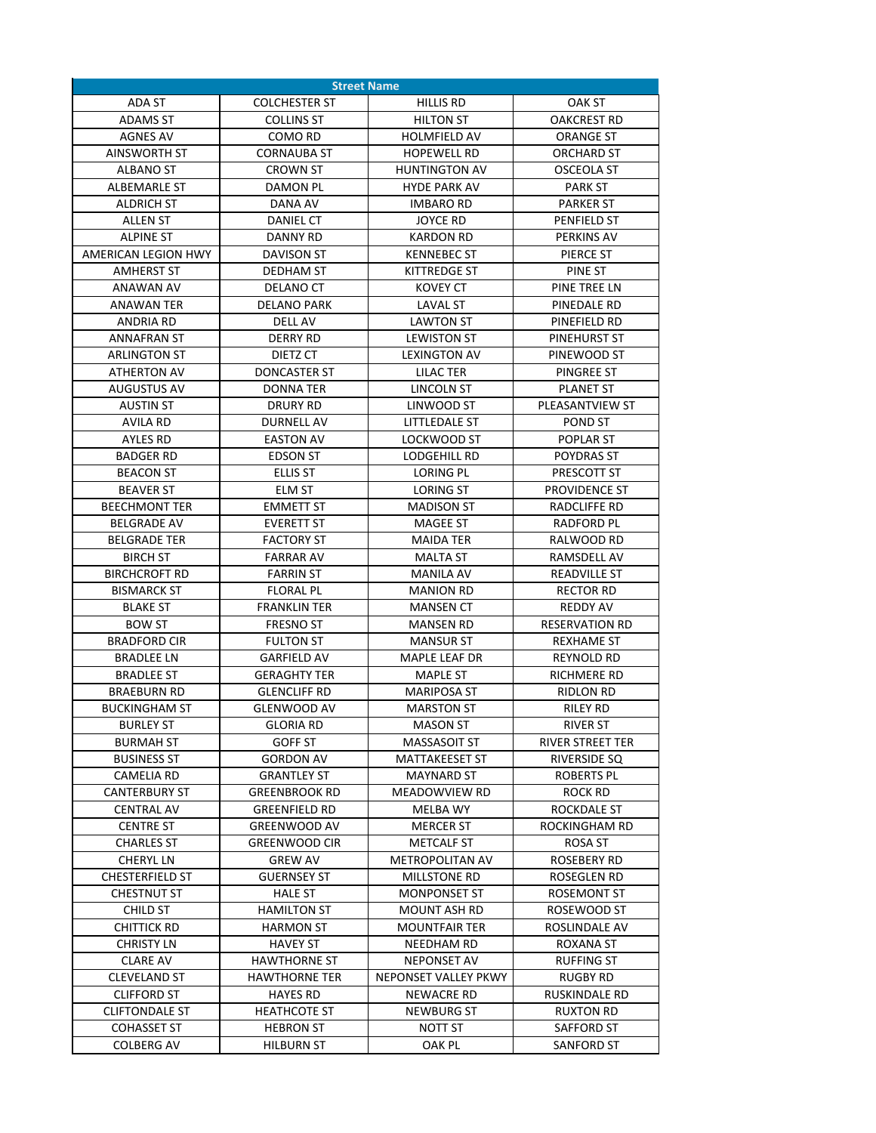| <b>Street Name</b>     |                      |                        |                         |
|------------------------|----------------------|------------------------|-------------------------|
| ADA ST                 | <b>COLCHESTER ST</b> | <b>HILLIS RD</b>       | <b>OAK ST</b>           |
| <b>ADAMS ST</b>        | <b>COLLINS ST</b>    | <b>HILTON ST</b>       | <b>OAKCREST RD</b>      |
| <b>AGNES AV</b>        | COMO RD              | <b>HOLMFIELD AV</b>    | <b>ORANGE ST</b>        |
| AINSWORTH ST           | <b>CORNAUBA ST</b>   | <b>HOPEWELL RD</b>     | ORCHARD ST              |
| <b>ALBANO ST</b>       | <b>CROWN ST</b>      | <b>HUNTINGTON AV</b>   | <b>OSCEOLA ST</b>       |
| ALBEMARLE ST           | DAMON PL             | <b>HYDE PARK AV</b>    | <b>PARK ST</b>          |
| <b>ALDRICH ST</b>      | DANA AV              | <b>IMBARO RD</b>       | <b>PARKER ST</b>        |
| ALLEN ST               | DANIEL CT            | <b>JOYCE RD</b>        | <b>PENFIELD ST</b>      |
| <b>ALPINE ST</b>       | DANNY RD             | <b>KARDON RD</b>       | <b>PERKINS AV</b>       |
| AMERICAN LEGION HWY    | DAVISON ST           | <b>KENNEBEC ST</b>     | PIERCE ST               |
| <b>AMHERST ST</b>      | DEDHAM ST            | <b>KITTREDGE ST</b>    | PINE ST                 |
| <b>ANAWAN AV</b>       | DELANO CT            | <b>KOVEY CT</b>        | PINE TREE LN            |
| ANAWAN TER             | <b>DELANO PARK</b>   | <b>LAVAL ST</b>        | PINEDALE RD             |
| ANDRIA RD              | <b>DELL AV</b>       | <b>LAWTON ST</b>       | PINEFIELD RD            |
| <b>ANNAFRAN ST</b>     | <b>DERRY RD</b>      | <b>LEWISTON ST</b>     | <b>PINEHURST ST</b>     |
| <b>ARLINGTON ST</b>    | DIETZ CT             | <b>LEXINGTON AV</b>    | PINEWOOD ST             |
| ATHERTON AV            | DONCASTER ST         | LILAC TER              | PINGREE ST              |
| AUGUSTUS AV            | DONNA TER            | LINCOLN ST             | <b>PLANET ST</b>        |
| <b>AUSTIN ST</b>       | <b>DRURY RD</b>      | LINWOOD ST             | PLEASANTVIEW ST         |
| AVILA RD               | <b>DURNELL AV</b>    | LITTLEDALE ST          | POND ST                 |
| <b>AYLES RD</b>        | <b>EASTON AV</b>     | LOCKWOOD ST            | POPLAR ST               |
| <b>BADGER RD</b>       | <b>EDSON ST</b>      | LODGEHILL RD           | <b>POYDRAS ST</b>       |
| <b>BEACON ST</b>       | <b>ELLIS ST</b>      | LORING PL              | PRESCOTT ST             |
| <b>BEAVER ST</b>       | ELM ST               | <b>LORING ST</b>       | <b>PROVIDENCE ST</b>    |
| <b>BEECHMONT TER</b>   | <b>EMMETT ST</b>     | <b>MADISON ST</b>      | RADCLIFFE RD            |
| <b>BELGRADE AV</b>     | <b>EVERETT ST</b>    | <b>MAGEE ST</b>        | RADFORD PL              |
| <b>BELGRADE TER</b>    | FACTORY ST           | <b>MAIDA TER</b>       | RALWOOD RD              |
| <b>BIRCH ST</b>        | <b>FARRAR AV</b>     | <b>MALTA ST</b>        | RAMSDELL AV             |
| <b>BIRCHCROFT RD</b>   | <b>FARRIN ST</b>     | <b>MANILA AV</b>       | <b>READVILLE ST</b>     |
| <b>BISMARCK ST</b>     | <b>FLORAL PL</b>     | <b>MANION RD</b>       | <b>RECTOR RD</b>        |
| <b>BLAKE ST</b>        | <b>FRANKLIN TER</b>  | <b>MANSEN CT</b>       | REDDY AV                |
| <b>BOW ST</b>          | <b>FRESNO ST</b>     | <b>MANSEN RD</b>       | <b>RESERVATION RD</b>   |
| <b>BRADFORD CIR</b>    | <b>FULTON ST</b>     | <b>MANSUR ST</b>       | <b>REXHAME ST</b>       |
| <b>BRADLEE LN</b>      | <b>GARFIELD AV</b>   | <b>MAPLE LEAF DR</b>   | <b>REYNOLD RD</b>       |
| <b>BRADLEE ST</b>      | <b>GERAGHTY TER</b>  | <b>MAPLE ST</b>        | RICHMERE RD             |
| <b>BRAEBURN RD</b>     | <b>GLENCLIFF RD</b>  | <b>MARIPOSA ST</b>     | <b>RIDLON RD</b>        |
| <b>BUCKINGHAM ST</b>   | <b>GLENWOOD AV</b>   | <b>MARSTON ST</b>      | RILEY RD                |
| <b>BURLEY ST</b>       | <b>GLORIA RD</b>     | <b>MASON ST</b>        | <b>RIVER ST</b>         |
| <b>BURMAH ST</b>       | <b>GOFF ST</b>       | <b>MASSASOIT ST</b>    | <b>RIVER STREET TER</b> |
| <b>BUSINESS ST</b>     | <b>GORDON AV</b>     | MATTAKEESET ST         | RIVERSIDE SQ            |
| CAMELIA RD             | <b>GRANTLEY ST</b>   | <b>MAYNARD ST</b>      | ROBERTS PL              |
| <b>CANTERBURY ST</b>   | <b>GREENBROOK RD</b> | MEADOWVIEW RD          | ROCK RD                 |
| <b>CENTRAL AV</b>      | <b>GREENFIELD RD</b> | MELBA WY               | ROCKDALE ST             |
| <b>CENTRE ST</b>       | <b>GREENWOOD AV</b>  | <b>MERCER ST</b>       | ROCKINGHAM RD           |
| <b>CHARLES ST</b>      | GREENWOOD CIR        | <b>METCALF ST</b>      | ROSA ST                 |
| <b>CHERYL LN</b>       | <b>GREW AV</b>       | <b>METROPOLITAN AV</b> | ROSEBERY RD             |
| <b>CHESTERFIELD ST</b> | <b>GUERNSEY ST</b>   | MILLSTONE RD           | ROSEGLEN RD             |
| CHESTNUT ST            | <b>HALE ST</b>       | <b>MONPONSET ST</b>    | <b>ROSEMONT ST</b>      |
| CHILD ST               | <b>HAMILTON ST</b>   | MOUNT ASH RD           | ROSEWOOD ST             |
| <b>CHITTICK RD</b>     | <b>HARMON ST</b>     | <b>MOUNTFAIR TER</b>   | ROSLINDALE AV           |
| <b>CHRISTY LN</b>      | <b>HAVEY ST</b>      | NEEDHAM RD             | ROXANA ST               |
| <b>CLARE AV</b>        | <b>HAWTHORNE ST</b>  | <b>NEPONSET AV</b>     | <b>RUFFING ST</b>       |
| <b>CLEVELAND ST</b>    | <b>HAWTHORNE TER</b> | NEPONSET VALLEY PKWY   | RUGBY RD                |
| <b>CLIFFORD ST</b>     | <b>HAYES RD</b>      | NEWACRE RD             | RUSKINDALE RD           |
| <b>CLIFTONDALE ST</b>  | <b>HEATHCOTE ST</b>  | NEWBURG ST             | RUXTON RD               |
| COHASSET ST            | <b>HEBRON ST</b>     | NOTT ST                | SAFFORD ST              |
| COLBERG AV             | HILBURN ST           | OAK PL                 | SANFORD ST              |